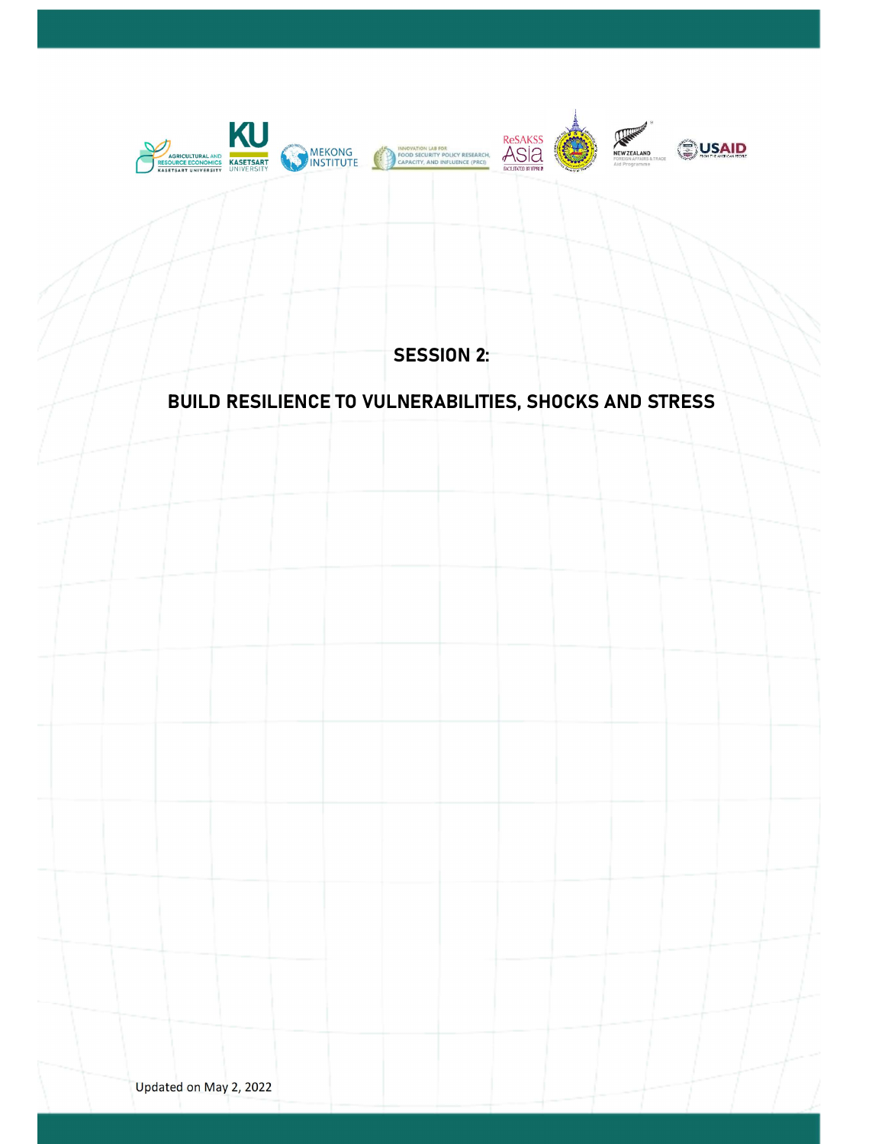

SESSION 2:

# BUILD RESILIENCE TO VULNERABILITIES, SHOCKS AND STRESS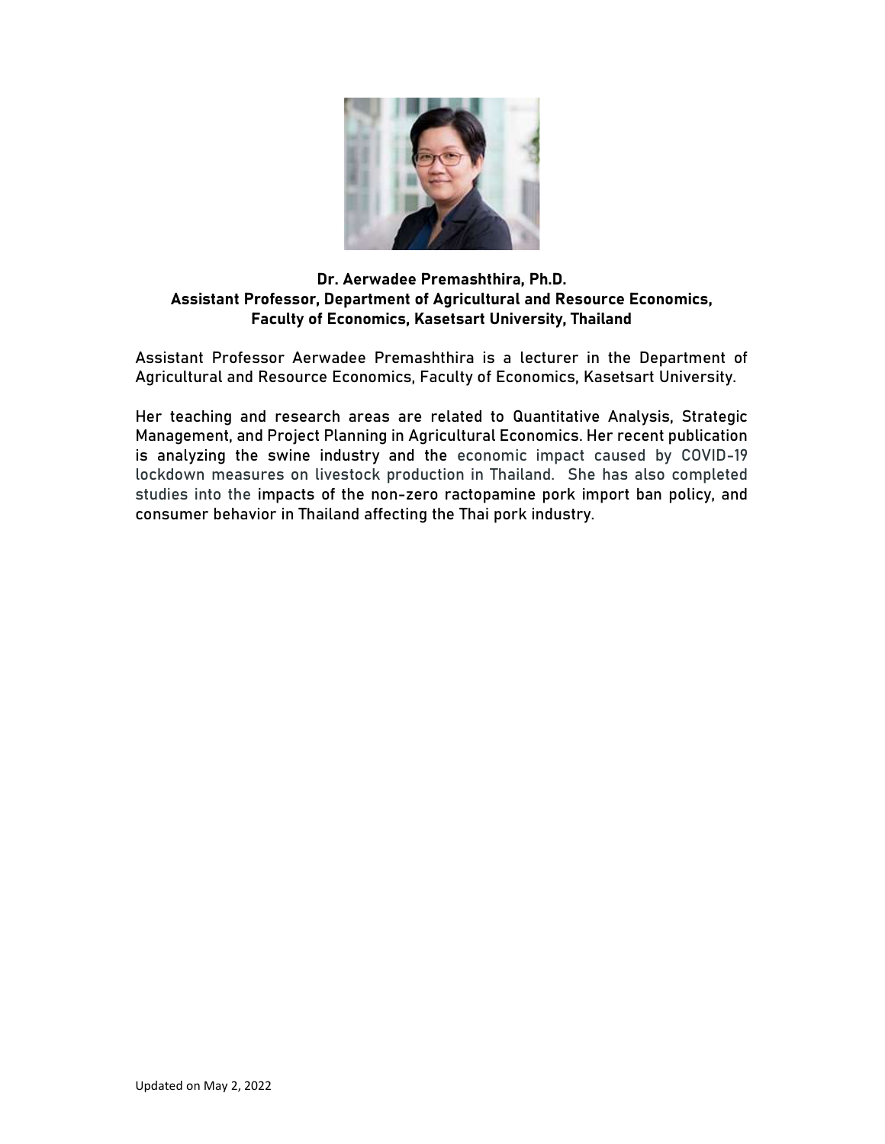

## Dr. Aerwadee Premashthira, Ph.D. Assistant Professor, Department of Agricultural and Resource Economics, Faculty of Economics, Kasetsart University, Thailand

Assistant Professor Aerwadee Premashthira is a lecturer in the Department of Agricultural and Resource Economics, Faculty of Economics, Kasetsart University.

Her teaching and research areas are related to Quantitative Analysis, Strategic Management, and Project Planning in Agricultural Economics. Her recent publication is analyzing the swine industry and the economic impact caused by COVID-19 lockdown measures on livestock production in Thailand. She has also completed studies into the impacts of the non-zero ractopamine pork import ban policy, and consumer behavior in Thailand affecting the Thai pork industry.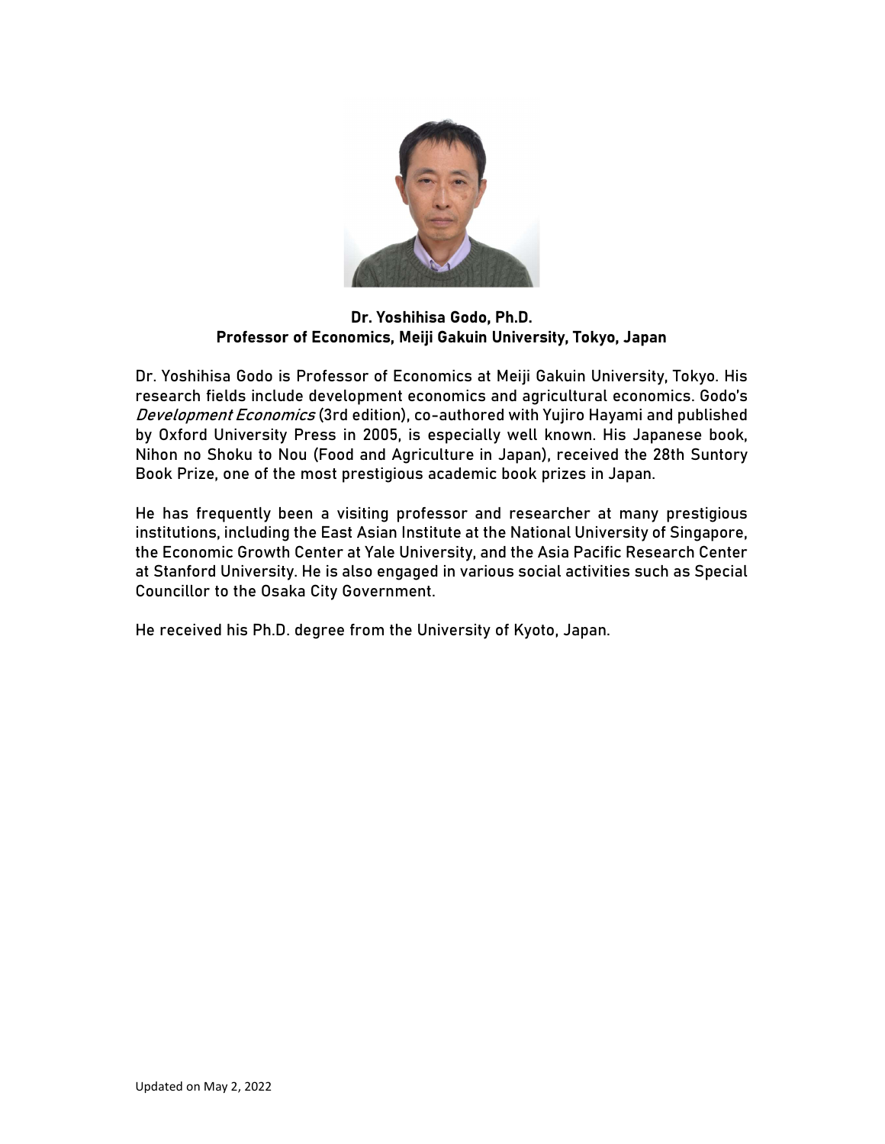

Dr. Yoshihisa Godo, Ph.D. Professor of Economics, Meiji Gakuin University, Tokyo, Japan

Dr. Yoshihisa Godo is Professor of Economics at Meiji Gakuin University, Tokyo. His research fields include development economics and agricultural economics. Godo's Development Economics (3rd edition), co-authored with Yujiro Hayami and published by Oxford University Press in 2005, is especially well known. His Japanese book, Nihon no Shoku to Nou (Food and Agriculture in Japan), received the 28th Suntory Book Prize, one of the most prestigious academic book prizes in Japan.

He has frequently been a visiting professor and researcher at many prestigious institutions, including the East Asian Institute at the National University of Singapore, the Economic Growth Center at Yale University, and the Asia Pacific Research Center at Stanford University. He is also engaged in various social activities such as Special Councillor to the Osaka City Government.

He received his Ph.D. degree from the University of Kyoto, Japan.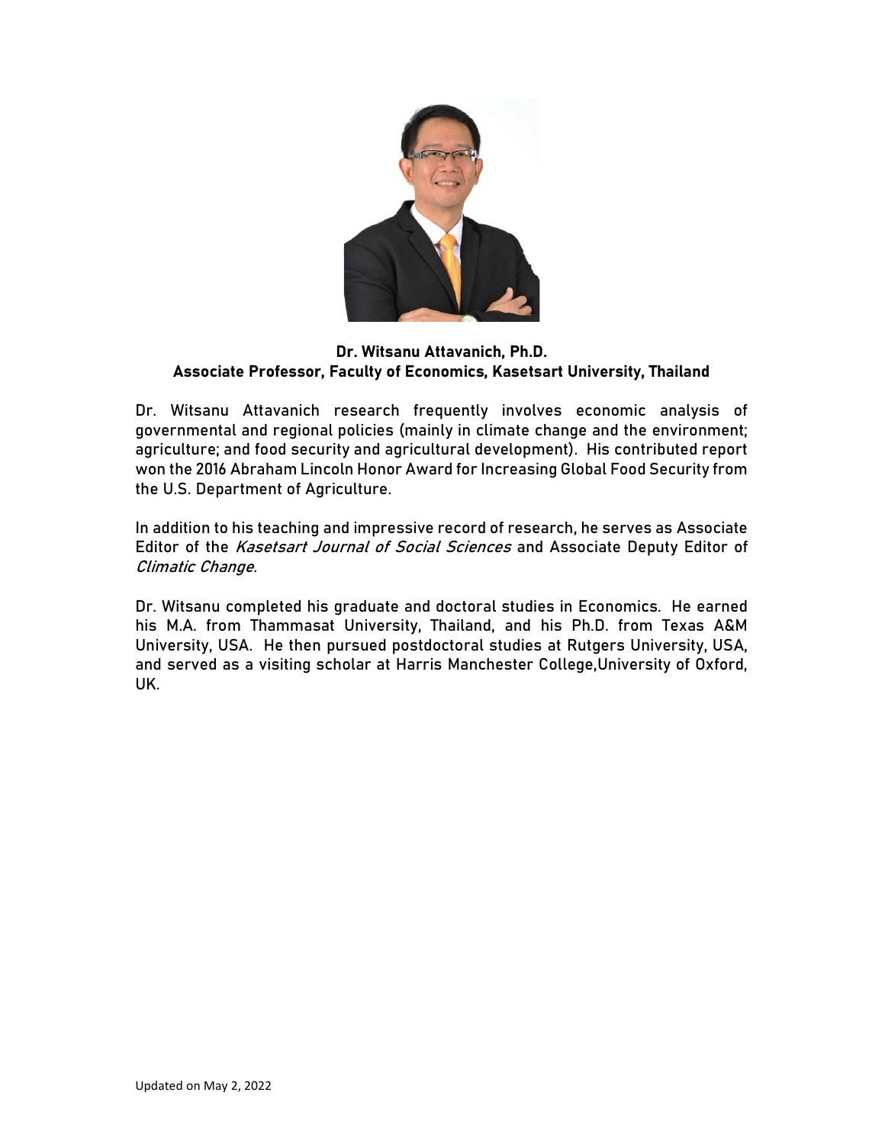

#### Dr. Witsanu Attavanich, Ph.D. Associate Professor, Faculty of Economics, Kasetsart University, Thailand

Dr. Witsanu Attavanich research frequently involves economic analysis of governmental and regional policies (mainly in climate change and the environment; agriculture; and food security and agricultural development). His contributed report won the 2016 Abraham Lincoln Honor Award for Increasing Global Food Security from the U.S. Department of Agriculture.

In addition to his teaching and impressive record of research, he serves as Associate Editor of the Kasetsart Journal of Social Sciences and Associate Deputy Editor of Climatic Change.

Dr. Witsanu completed his graduate and doctoral studies in Economics. He earned his M.A. from Thammasat University, Thailand, and his Ph.D. from Texas A&M University, USA. He then pursued postdoctoral studies at Rutgers University, USA, and served as a visiting scholar at Harris Manchester College,University of Oxford, UK.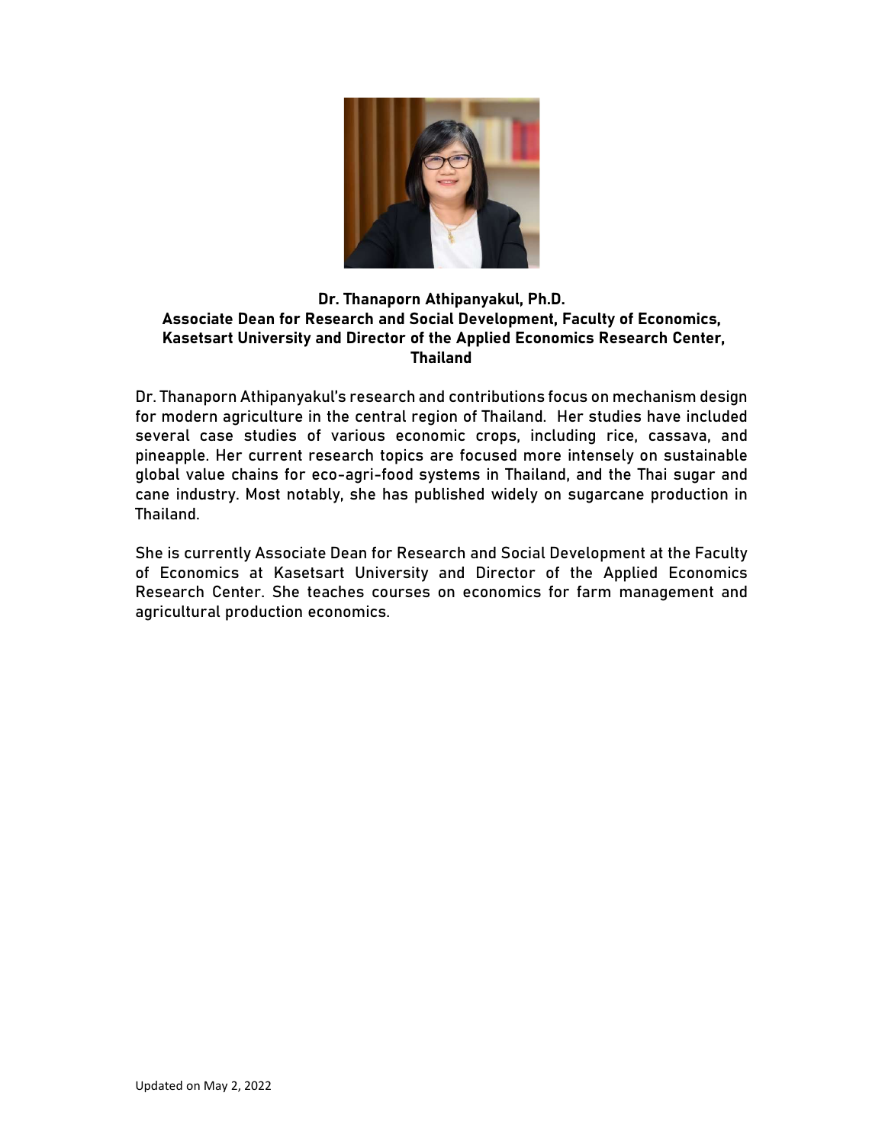

#### Dr. Thanaporn Athipanyakul, Ph.D. Associate Dean for Research and Social Development, Faculty of Economics, Kasetsart University and Director of the Applied Economics Research Center, Thailand

Dr. Thanaporn Athipanyakul's research and contributions focus on mechanism design for modern agriculture in the central region of Thailand. Her studies have included several case studies of various economic crops, including rice, cassava, and pineapple. Her current research topics are focused more intensely on sustainable global value chains for eco-agri-food systems in Thailand, and the Thai sugar and cane industry. Most notably, she has published widely on sugarcane production in Thailand.

She is currently Associate Dean for Research and Social Development at the Faculty of Economics at Kasetsart University and Director of the Applied Economics Research Center. She teaches courses on economics for farm management and agricultural production economics.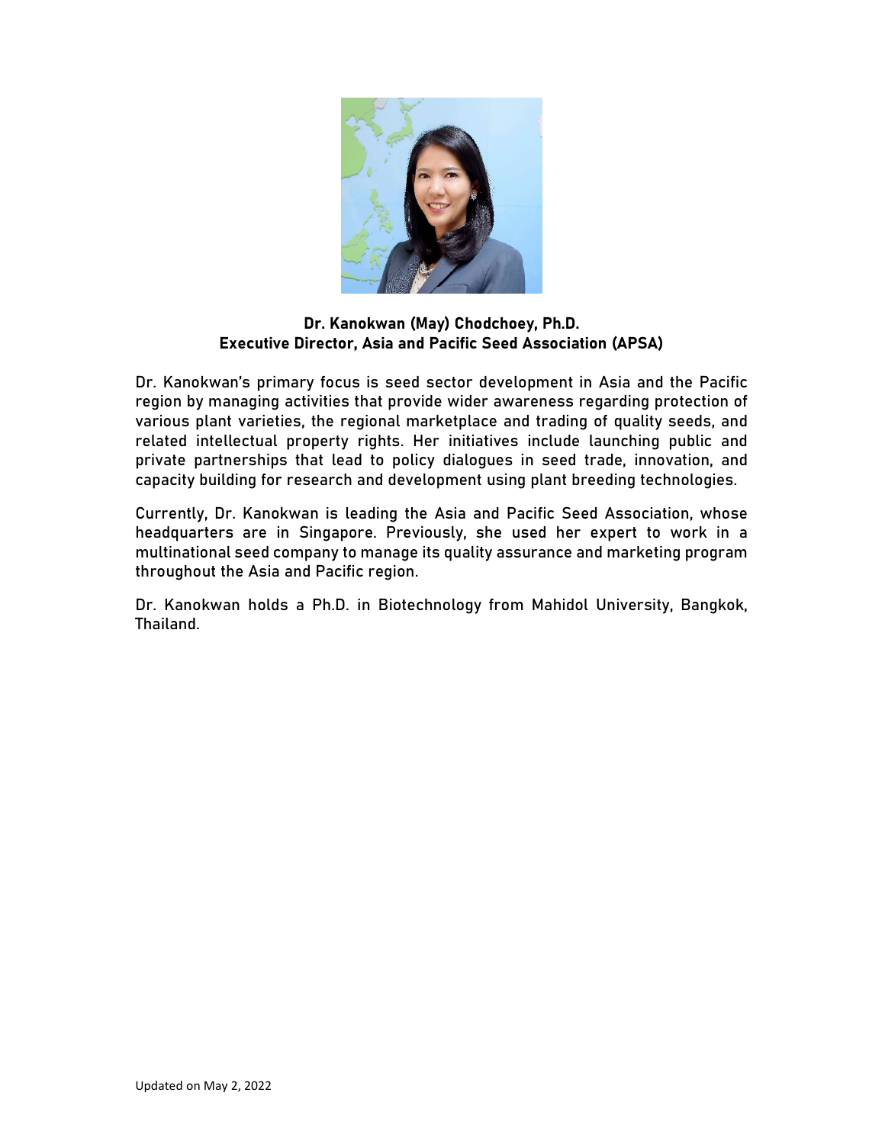

#### Dr. Kanokwan (May) Chodchoey, Ph.D. Executive Director, Asia and Pacific Seed Association (APSA)

Dr. Kanokwan's primary focus is seed sector development in Asia and the Pacific region by managing activities that provide wider awareness regarding protection of various plant varieties, the regional marketplace and trading of quality seeds, and related intellectual property rights. Her initiatives include launching public and private partnerships that lead to policy dialogues in seed trade, innovation, and capacity building for research and development using plant breeding technologies.

Currently, Dr. Kanokwan is leading the Asia and Pacific Seed Association, whose headquarters are in Singapore. Previously, she used her expert to work in a multinational seed company to manage its quality assurance and marketing program throughout the Asia and Pacific region.

Dr. Kanokwan holds a Ph.D. in Biotechnology from Mahidol University, Bangkok, Thailand.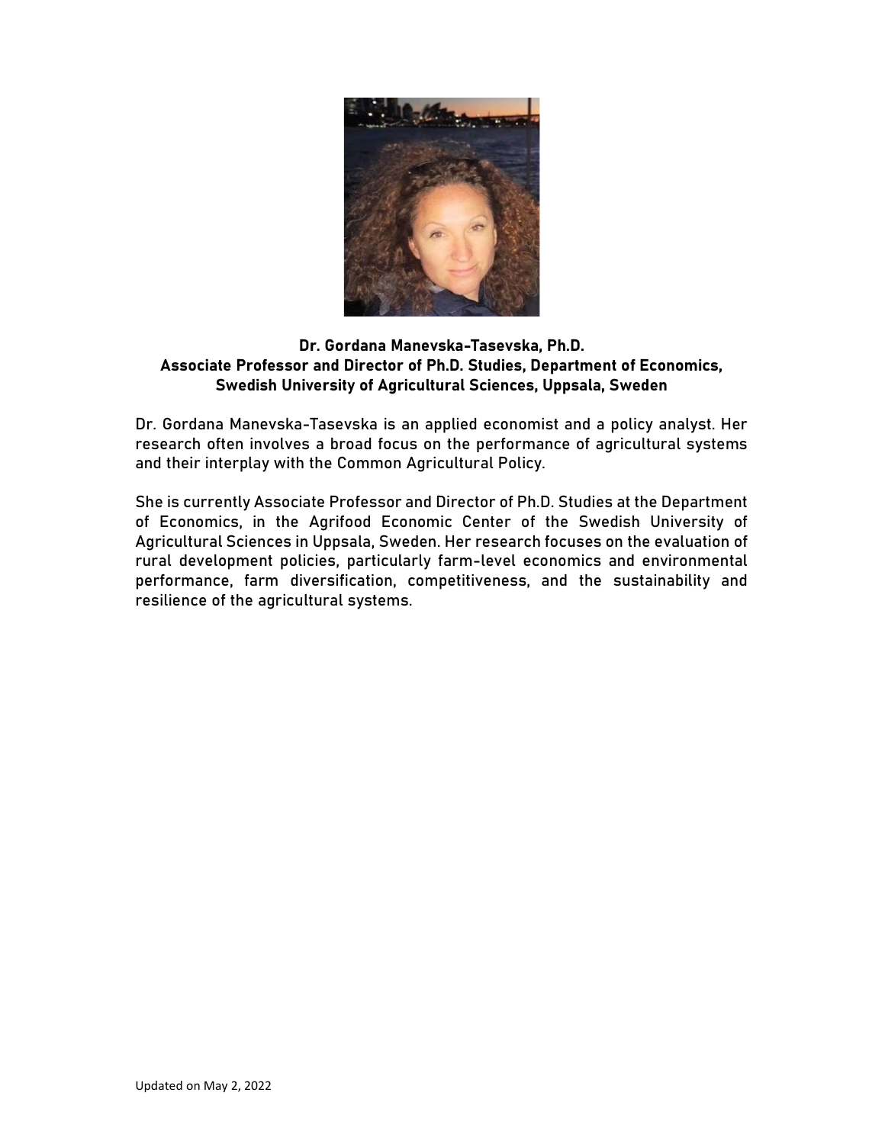

### Dr. Gordana Manevska-Tasevska, Ph.D. Associate Professor and Director of Ph.D. Studies, Department of Economics, Swedish University of Agricultural Sciences, Uppsala, Sweden

Dr. Gordana Manevska-Tasevska is an applied economist and a policy analyst. Her research often involves a broad focus on the performance of agricultural systems and their interplay with the Common Agricultural Policy.

She is currently Associate Professor and Director of Ph.D. Studies at the Department of Economics, in the Agrifood Economic Center of the Swedish University of Agricultural Sciences in Uppsala, Sweden. Her research focuses on the evaluation of rural development policies, particularly farm-level economics and environmental performance, farm diversification, competitiveness, and the sustainability and resilience of the agricultural systems.